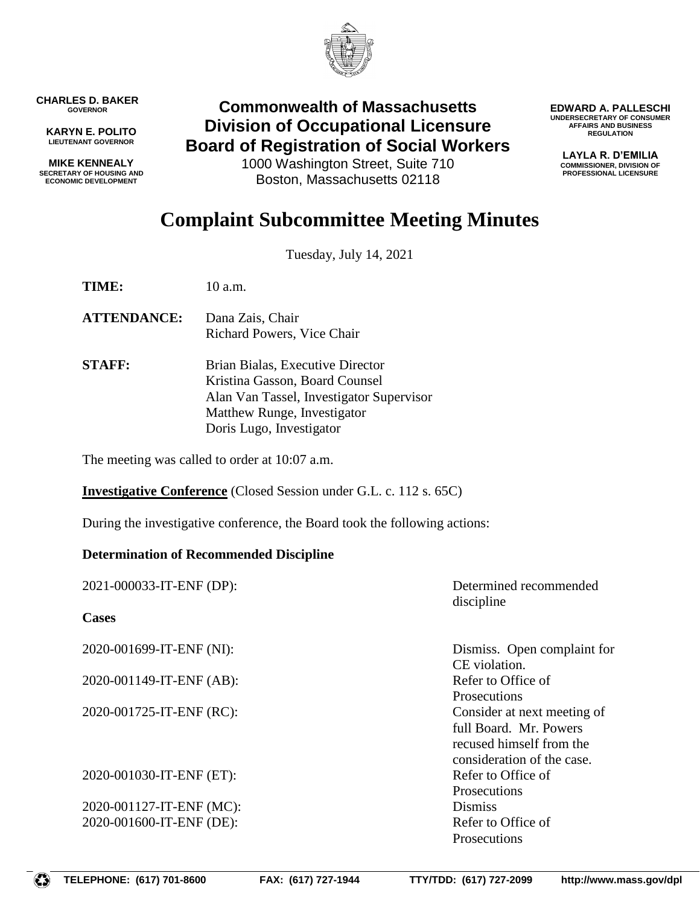

**CHARLES D. BAKER GOVERNOR**

**KARYN E. POLITO LIEUTENANT GOVERNOR**

**MIKE KENNEALY SECRETARY OF HOUSING AND ECONOMIC DEVELOPMENT**

## **Commonwealth of Massachusetts Division of Occupational Licensure Board of Registration of Social Workers**

1000 Washington Street, Suite 710 Boston, Massachusetts 02118

**EDWARD A. PALLESCHI UNDERSECRETARY OF CONSUMER AFFAIRS AND BUSINESS REGULATION**

> **LAYLA R. D'EMILIA COMMISSIONER, DIVISION OF PROFESSIONAL LICENSURE**

## **Complaint Subcommittee Meeting Minutes**

Tuesday, July 14, 2021

**TIME:** 10 a.m.

- **ATTENDANCE:** Dana Zais, Chair Richard Powers, Vice Chair
- **STAFF:** Brian Bialas, Executive Director Kristina Gasson, Board Counsel Alan Van Tassel, Investigator Supervisor Matthew Runge, Investigator Doris Lugo, Investigator

The meeting was called to order at 10:07 a.m.

**Investigative Conference** (Closed Session under G.L. c. 112 s. 65C)

During the investigative conference, the Board took the following actions:

## **Determination of Recommended Discipline**

| 2021-000033-IT-ENF (DP): | Determined recommended<br>discipline                                                                            |
|--------------------------|-----------------------------------------------------------------------------------------------------------------|
| <b>Cases</b>             |                                                                                                                 |
| 2020-001699-IT-ENF (NI): | Dismiss. Open complaint for<br>CE violation.                                                                    |
| 2020-001149-IT-ENF (AB): | Refer to Office of<br><b>Prosecutions</b>                                                                       |
| 2020-001725-IT-ENF (RC): | Consider at next meeting of<br>full Board. Mr. Powers<br>recused himself from the<br>consideration of the case. |
| 2020-001030-IT-ENF (ET): | Refer to Office of<br>Prosecutions                                                                              |
| 2020-001127-IT-ENF (MC): | <b>Dismiss</b>                                                                                                  |
| 2020-001600-IT-ENF (DE): | Refer to Office of<br>Prosecutions                                                                              |